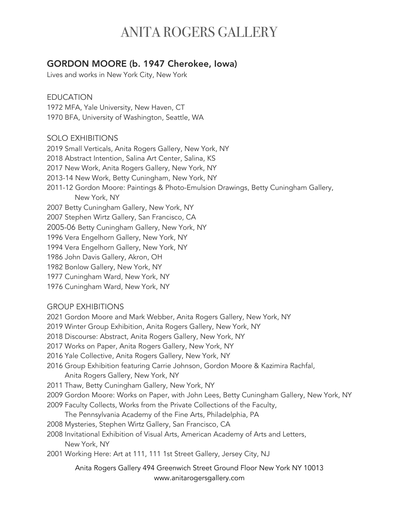## ANITA ROGERS GALLERY

### GORDON MOORE (b. 1947 Cherokee, Iowa)

Lives and works in New York City, New York

EDUCATION 1972 MFA, Yale University, New Haven, CT 1970 BFA, University of Washington, Seattle, WA

#### SOLO EXHIBITIONS

2019 Small Verticals, Anita Rogers Gallery, New York, NY 2018 Abstract Intention, Salina Art Center, Salina, KS 2017 New Work, Anita Rogers Gallery, New York, NY 2013-14 New Work, Betty Cuningham, New York, NY 2011-12 Gordon Moore: Paintings & Photo-Emulsion Drawings, Betty Cuningham Gallery, New York, NY 2007 Betty Cuningham Gallery, New York, NY 2007 Stephen Wirtz Gallery, San Francisco, CA 2005-06 Betty Cuningham Gallery, New York, NY 1996 Vera Engelhorn Gallery, New York, NY 1994 Vera Engelhorn Gallery, New York, NY 1986 John Davis Gallery, Akron, OH 1982 Bonlow Gallery, New York, NY 1977 Cuningham Ward, New York, NY 1976 Cuningham Ward, New York, NY

### GROUP EXHIBITIONS

2021 Gordon Moore and Mark Webber, Anita Rogers Gallery, New York, NY

2019 Winter Group Exhibition, Anita Rogers Gallery, New York, NY

2018 Discourse: Abstract, Anita Rogers Gallery, New York, NY

2017 Works on Paper, Anita Rogers Gallery, New York, NY

2016 Yale Collective, Anita Rogers Gallery, New York, NY

- 2016 Group Exhibition featuring Carrie Johnson, Gordon Moore & Kazimira Rachfal, Anita Rogers Gallery, New York, NY
- 2011 Thaw, Betty Cuningham Gallery, New York, NY
- 2009 Gordon Moore: Works on Paper, with John Lees, Betty Cuningham Gallery, New York, NY 2009 Faculty Collects, Works from the Private Collections of the Faculty,

The Pennsylvania Academy of the Fine Arts, Philadelphia, PA

2008 Mysteries, Stephen Wirtz Gallery, San Francisco, CA

2008 Invitational Exhibition of Visual Arts, American Academy of Arts and Letters, New York, NY

2001 Working Here: Art at 111, 111 1st Street Gallery, Jersey City, NJ

Anita Rogers Gallery 494 Greenwich Street Ground Floor New York NY 10013 www.anitarogersgallery.com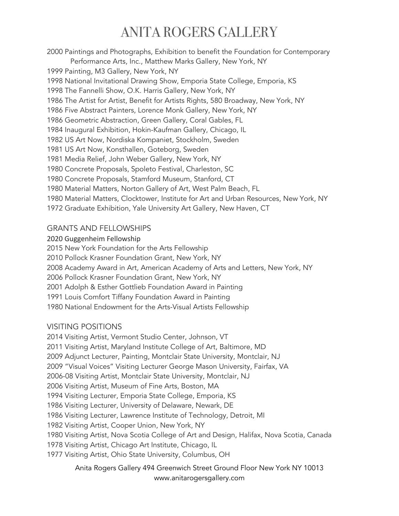# ANITA ROGERS GALLERY

2000 Paintings and Photographs, Exhibition to benefit the Foundation for Contemporary Performance Arts, Inc., Matthew Marks Gallery, New York, NY 1999 Painting, M3 Gallery, New York, NY 1998 National Invitational Drawing Show, Emporia State College, Emporia, KS 1998 The Fannelli Show, O.K. Harris Gallery, New York, NY 1986 The Artist for Artist, Benefit for Artists Rights, 580 Broadway, New York, NY 1986 Five Abstract Painters, Lorence Monk Gallery, New York, NY 1986 Geometric Abstraction, Green Gallery, Coral Gables, FL 1984 Inaugural Exhibition, Hokin-Kaufman Gallery, Chicago, IL 1982 US Art Now, Nordiska Kompaniet, Stockholm, Sweden 1981 US Art Now, Konsthallen, Goteborg, Sweden 1981 Media Relief, John Weber Gallery, New York, NY 1980 Concrete Proposals, Spoleto Festival, Charleston, SC 1980 Concrete Proposals, Stamford Museum, Stanford, CT 1980 Material Matters, Norton Gallery of Art, West Palm Beach, FL 1980 Material Matters, Clocktower, Institute for Art and Urban Resources, New York, NY 1972 Graduate Exhibition, Yale University Art Gallery, New Haven, CT

### GRANTS AND FELLOWSHIPS

2020 Guggenheim Fellowship

2015 New York Foundation for the Arts Fellowship

2010 Pollock Krasner Foundation Grant, New York, NY

2008 Academy Award in Art, American Academy of Arts and Letters, New York, NY

2006 Pollock Krasner Foundation Grant, New York, NY

2001 Adolph & Esther Gottlieb Foundation Award in Painting

1991 Louis Comfort Tiffany Foundation Award in Painting

1980 National Endowment for the Arts-Visual Artists Fellowship

### VISITING POSITIONS

2014 Visiting Artist, Vermont Studio Center, Johnson, VT 2011 Visiting Artist, Maryland Institute College of Art, Baltimore, MD 2009 Adjunct Lecturer, Painting, Montclair State University, Montclair, NJ 2009 "Visual Voices" Visiting Lecturer George Mason University, Fairfax, VA 2006-08 Visiting Artist, Montclair State University, Montclair, NJ 2006 Visiting Artist, Museum of Fine Arts, Boston, MA 1994 Visiting Lecturer, Emporia State College, Emporia, KS 1986 Visiting Lecturer, University of Delaware, Newark, DE 1986 Visiting Lecturer, Lawrence Institute of Technology, Detroit, MI 1982 Visiting Artist, Cooper Union, New York, NY 1980 Visiting Artist, Nova Scotia College of Art and Design, Halifax, Nova Scotia, Canada 1978 Visiting Artist, Chicago Art Institute, Chicago, IL 1977 Visiting Artist, Ohio State University, Columbus, OH

Anita Rogers Gallery 494 Greenwich Street Ground Floor New York NY 10013 www.anitarogersgallery.com